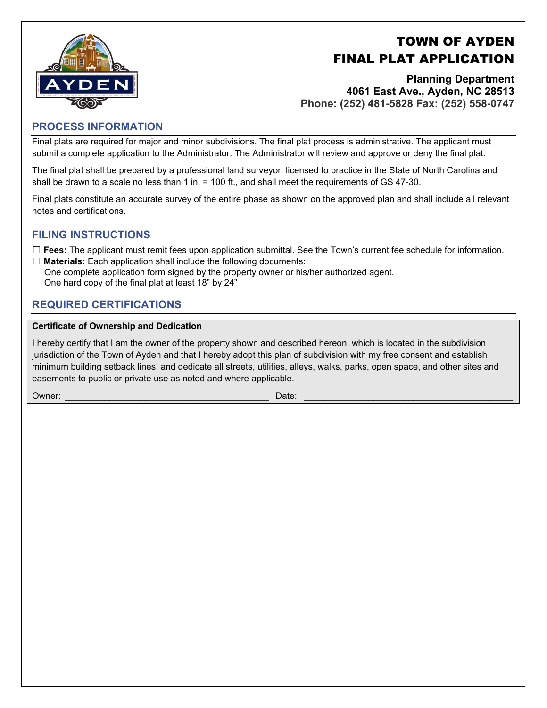# TOWN OF AYDEN FINAL PLAT APPLICATION



**Planning Department 4061 East Ave., Ayden, NC 28513 Phone: (252) 481-5828 Fax: (252) 558-0747** 

### **PROCESS INFORMATION**

Final plats are required for major and minor subdivisions. The final plat process is administrative. The applicant must submit a complete application to the Administrator. The Administrator will review and approve or deny the final plat.

The final plat shall be prepared by a professional land surveyor, licensed to practice in the State of North Carolina and shall be drawn to a scale no less than 1 in. = 100 ft., and shall meet the requirements of GS 47-30.

Final plats constitute an accurate survey of the entire phase as shown on the approved plan and shall include all relevant notes and certifications.

## **FILING INSTRUCTIONS**

☐ **Fees:** The applicant must remit fees upon application submittal. See the Town's current fee schedule for information. ☐ **Materials:** Each application shall include the following documents:

One complete application form signed by the property owner or his/her authorized agent. One hard copy of the final plat at least 18" by 24"

## **REQUIRED CERTIFICATIONS**

#### **Certificate of Ownership and Dedication**

I hereby certify that I am the owner of the property shown and described hereon, which is located in the subdivision jurisdiction of the Town of Ayden and that I hereby adopt this plan of subdivision with my free consent and establish minimum building setback lines, and dedicate all streets, utilities, alleys, walks, parks, open space, and other sites and easements to public or private use as noted and where applicable.

Owner: \_\_\_\_\_\_\_\_\_\_\_\_\_\_\_\_\_\_\_\_\_\_\_\_\_\_\_\_\_\_\_\_\_\_\_\_\_\_\_\_\_ Date: \_\_\_\_\_\_\_\_\_\_\_\_\_\_\_\_\_\_\_\_\_\_\_\_\_\_\_\_\_\_\_\_\_\_\_\_\_\_\_\_\_\_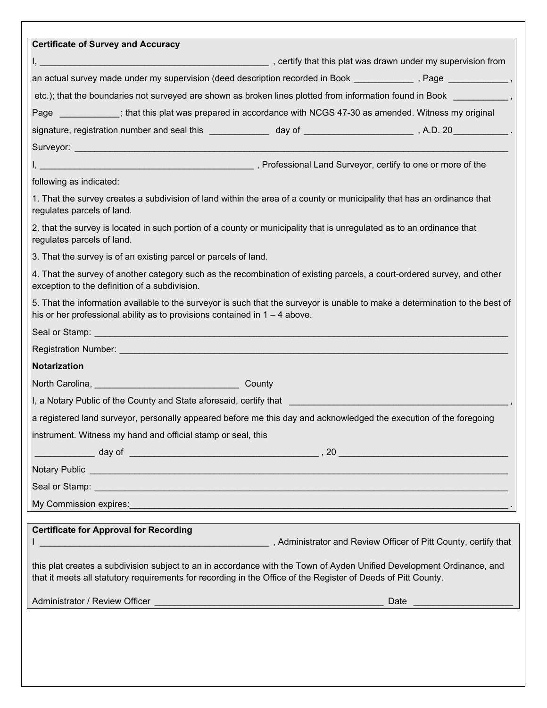| <b>Certificate of Survey and Accuracy</b>                                                                                                                                                                                              |
|----------------------------------------------------------------------------------------------------------------------------------------------------------------------------------------------------------------------------------------|
|                                                                                                                                                                                                                                        |
| an actual survey made under my supervision (deed description recorded in Book _____________, Page ___________,                                                                                                                         |
| etc.); that the boundaries not surveyed are shown as broken lines plotted from information found in Book ___________,                                                                                                                  |
| Page __________; that this plat was prepared in accordance with NCGS 47-30 as amended. Witness my original                                                                                                                             |
|                                                                                                                                                                                                                                        |
|                                                                                                                                                                                                                                        |
|                                                                                                                                                                                                                                        |
| following as indicated:                                                                                                                                                                                                                |
| 1. That the survey creates a subdivision of land within the area of a county or municipality that has an ordinance that<br>regulates parcels of land.                                                                                  |
| 2. that the survey is located in such portion of a county or municipality that is unregulated as to an ordinance that<br>regulates parcels of land.                                                                                    |
| 3. That the survey is of an existing parcel or parcels of land.                                                                                                                                                                        |
| 4. That the survey of another category such as the recombination of existing parcels, a court-ordered survey, and other<br>exception to the definition of a subdivision.                                                               |
| 5. That the information available to the surveyor is such that the surveyor is unable to make a determination to the best of<br>his or her professional ability as to provisions contained in $1 - 4$ above.                           |
|                                                                                                                                                                                                                                        |
| Registration Number: Network and Contact the Contact of the Contact of the Contact of the Contact of the Contact of the Contact of the Contact of the Contact of the Contact of the Contact of the Contact of the Contact of t         |
| <b>Notarization</b>                                                                                                                                                                                                                    |
|                                                                                                                                                                                                                                        |
| I, a Notary Public of the County and State aforesaid, certify that [100] [100] [100] [100] [100] [100] [100] [100] [100] [100] [100] [100] [100] [100] [100] [100] [100] [100] [100] [100] [100] [100] [100] [100] [100] [100]         |
| a registered land surveyor, personally appeared before me this day and acknowledged the execution of the foregoing                                                                                                                     |
| instrument. Witness my hand and official stamp or seal, this                                                                                                                                                                           |
|                                                                                                                                                                                                                                        |
| Notary Public League and Contract Contract Contract Contract Contract Contract Contract Contract Contract Contract Contract Contract Contract Contract Contract Contract Contract Contract Contract Contract Contract Contract         |
|                                                                                                                                                                                                                                        |
| My Commission expires: with the commission expires of the contract of the contract of the contract of the contract of the contract of the contract of the contract of the contract of the contract of the contract of the cont         |
| <b>Certificate for Approval for Recording</b>                                                                                                                                                                                          |
| Administrator and Review Officer of Pitt County, certify that                                                                                                                                                                          |
| this plat creates a subdivision subject to an in accordance with the Town of Ayden Unified Development Ordinance, and<br>that it meets all statutory requirements for recording in the Office of the Register of Deeds of Pitt County. |
|                                                                                                                                                                                                                                        |
|                                                                                                                                                                                                                                        |
|                                                                                                                                                                                                                                        |
|                                                                                                                                                                                                                                        |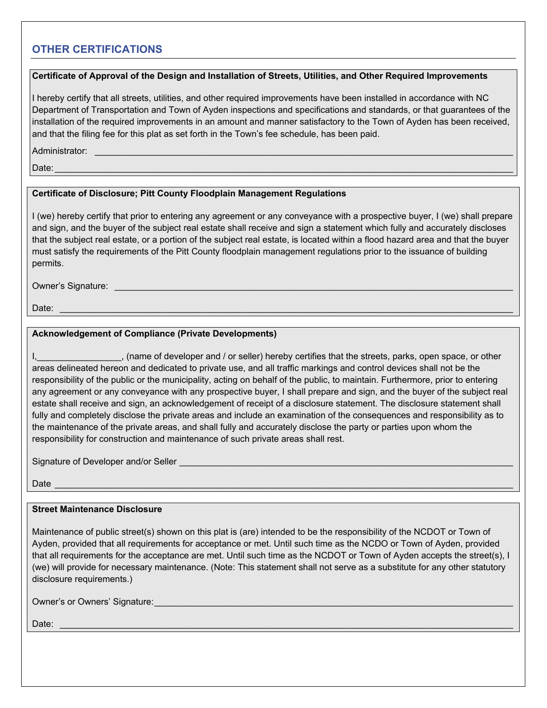## **OTHER CERTIFICATIONS**

#### **Certificate of Approval of the Design and Installation of Streets, Utilities, and Other Required Improvements**

I hereby certify that all streets, utilities, and other required improvements have been installed in accordance with NC Department of Transportation and Town of Ayden inspections and specifications and standards, or that guarantees of the installation of the required improvements in an amount and manner satisfactory to the Town of Ayden has been received, and that the filing fee for this plat as set forth in the Town's fee schedule, has been paid.

Administrator:

 ${\sf Date:}\quad$ 

#### **Certificate of Disclosure; Pitt County Floodplain Management Regulations**

I (we) hereby certify that prior to entering any agreement or any conveyance with a prospective buyer, I (we) shall prepare and sign, and the buyer of the subject real estate shall receive and sign a statement which fully and accurately discloses that the subject real estate, or a portion of the subject real estate, is located within a flood hazard area and that the buyer must satisfy the requirements of the Pitt County floodplain management regulations prior to the issuance of building permits.

Owner's Signature: \_\_\_\_\_\_\_\_\_\_\_\_\_\_\_\_\_\_\_\_\_\_\_\_\_\_\_\_\_\_\_\_\_\_\_\_\_\_\_\_\_\_\_\_\_\_\_\_\_\_\_\_\_\_\_\_\_\_\_\_\_\_\_\_\_\_\_\_\_\_\_\_\_\_\_\_\_\_\_\_

Date: \_\_\_\_\_\_\_\_\_\_\_\_\_\_\_\_\_\_\_\_\_\_\_\_\_\_\_\_\_\_\_\_\_\_\_\_\_\_\_\_\_\_\_\_\_\_\_\_\_\_\_\_\_\_\_\_\_\_\_\_\_\_\_\_\_\_\_\_\_\_\_\_\_\_\_\_\_\_\_\_\_\_\_\_\_\_\_\_\_\_\_

#### **Acknowledgement of Compliance (Private Developments)**

I, (name of developer and / or seller) hereby certifies that the streets, parks, open space, or other areas delineated hereon and dedicated to private use, and all traffic markings and control devices shall not be the responsibility of the public or the municipality, acting on behalf of the public, to maintain. Furthermore, prior to entering any agreement or any conveyance with any prospective buyer, I shall prepare and sign, and the buyer of the subject real estate shall receive and sign, an acknowledgement of receipt of a disclosure statement. The disclosure statement shall fully and completely disclose the private areas and include an examination of the consequences and responsibility as to the maintenance of the private areas, and shall fully and accurately disclose the party or parties upon whom the responsibility for construction and maintenance of such private areas shall rest.

Signature of Developer and/or Seller

 ${\sf Date} \begin{minipage}{12.5ex} {\small \textsf{Date}} {\small \textsf{Date}} {\small \textsf{Date}} {\small \textsf{Date}} {\small \textsf{Date}} {\small \textsf{Date}} {\small \textsf{Date}} {\small \textsf{Date}} {\small \textsf{Date}} {\small \textsf{Date}} {\small \textsf{Date}} {\small \textsf{Date}} {\small \textsf{Date}} {\small \textsf{Date}} {\small \textsf{Date}} {\small \textsf{Date}} {\small \textsf{Date}} {\small \textsf{Date}} {\small \textsf{Date}} {\small \textsf{Date}} {\small \textsf{Date}} {\small \textsf{Date}} {\small \textsf{Date}} {\small \textsf{Date}} {\small \textsf{Date}} {\small \$ 

#### **Street Maintenance Disclosure**

Maintenance of public street(s) shown on this plat is (are) intended to be the responsibility of the NCDOT or Town of Ayden, provided that all requirements for acceptance or met. Until such time as the NCDO or Town of Ayden, provided that all requirements for the acceptance are met. Until such time as the NCDOT or Town of Ayden accepts the street(s), I (we) will provide for necessary maintenance. (Note: This statement shall not serve as a substitute for any other statutory disclosure requirements.)

Owner's or Owners' Signature: \_\_\_\_\_\_\_\_\_\_\_\_\_\_\_\_\_\_\_\_\_\_\_\_\_\_\_\_\_\_\_\_\_\_\_\_\_\_\_\_\_\_\_\_\_\_\_\_\_\_\_\_\_\_\_\_\_\_\_\_\_\_\_\_\_\_\_\_\_\_\_\_

Date: \_\_\_\_\_\_\_\_\_\_\_\_\_\_\_\_\_\_\_\_\_\_\_\_\_\_\_\_\_\_\_\_\_\_\_\_\_\_\_\_\_\_\_\_\_\_\_\_\_\_\_\_\_\_\_\_\_\_\_\_\_\_\_\_\_\_\_\_\_\_\_\_\_\_\_\_\_\_\_\_\_\_\_\_\_\_\_\_\_\_\_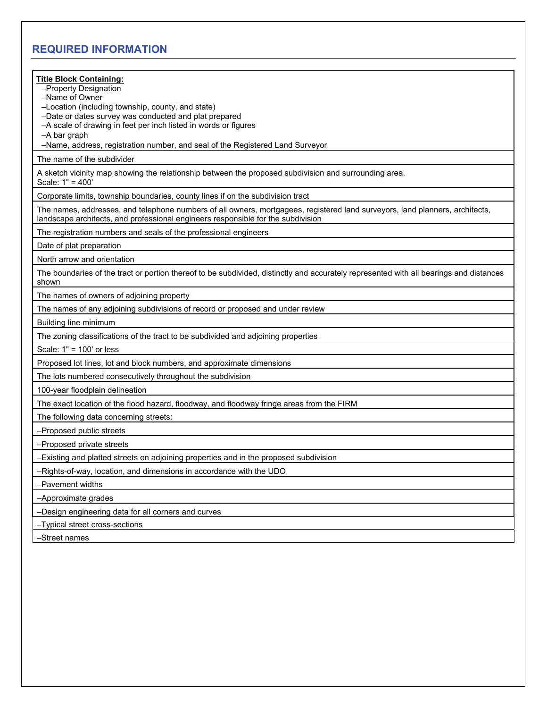## **REQUIRED INFORMATION**

| <b>Title Block Containing:</b><br>-Property Designation<br>-Name of Owner<br>-Location (including township, county, and state)<br>-Date or dates survey was conducted and plat prepared<br>-A scale of drawing in feet per inch listed in words or figures<br>-A bar graph<br>-Name, address, registration number, and seal of the Registered Land Surveyor |
|-------------------------------------------------------------------------------------------------------------------------------------------------------------------------------------------------------------------------------------------------------------------------------------------------------------------------------------------------------------|
| The name of the subdivider                                                                                                                                                                                                                                                                                                                                  |
| A sketch vicinity map showing the relationship between the proposed subdivision and surrounding area.<br>Scale: 1" = 400'                                                                                                                                                                                                                                   |
| Corporate limits, township boundaries, county lines if on the subdivision tract                                                                                                                                                                                                                                                                             |
| The names, addresses, and telephone numbers of all owners, mortgagees, registered land surveyors, land planners, architects,<br>landscape architects, and professional engineers responsible for the subdivision                                                                                                                                            |
| The registration numbers and seals of the professional engineers                                                                                                                                                                                                                                                                                            |
| Date of plat preparation                                                                                                                                                                                                                                                                                                                                    |
| North arrow and orientation                                                                                                                                                                                                                                                                                                                                 |
| The boundaries of the tract or portion thereof to be subdivided, distinctly and accurately represented with all bearings and distances<br>shown                                                                                                                                                                                                             |
| The names of owners of adjoining property                                                                                                                                                                                                                                                                                                                   |
| The names of any adjoining subdivisions of record or proposed and under review                                                                                                                                                                                                                                                                              |
| Building line minimum                                                                                                                                                                                                                                                                                                                                       |
| The zoning classifications of the tract to be subdivided and adjoining properties                                                                                                                                                                                                                                                                           |
| Scale: 1" = 100' or less                                                                                                                                                                                                                                                                                                                                    |
| Proposed lot lines, lot and block numbers, and approximate dimensions                                                                                                                                                                                                                                                                                       |
| The lots numbered consecutively throughout the subdivision                                                                                                                                                                                                                                                                                                  |
| 100-year floodplain delineation                                                                                                                                                                                                                                                                                                                             |
| The exact location of the flood hazard, floodway, and floodway fringe areas from the FIRM                                                                                                                                                                                                                                                                   |
| The following data concerning streets:                                                                                                                                                                                                                                                                                                                      |
| -Proposed public streets                                                                                                                                                                                                                                                                                                                                    |
| -Proposed private streets                                                                                                                                                                                                                                                                                                                                   |
| -Existing and platted streets on adjoining properties and in the proposed subdivision                                                                                                                                                                                                                                                                       |
| -Rights-of-way, location, and dimensions in accordance with the UDO                                                                                                                                                                                                                                                                                         |
| -Pavement widths                                                                                                                                                                                                                                                                                                                                            |
| -Approximate grades                                                                                                                                                                                                                                                                                                                                         |
| -Design engineering data for all corners and curves                                                                                                                                                                                                                                                                                                         |
| -Typical street cross-sections                                                                                                                                                                                                                                                                                                                              |
| -Street names                                                                                                                                                                                                                                                                                                                                               |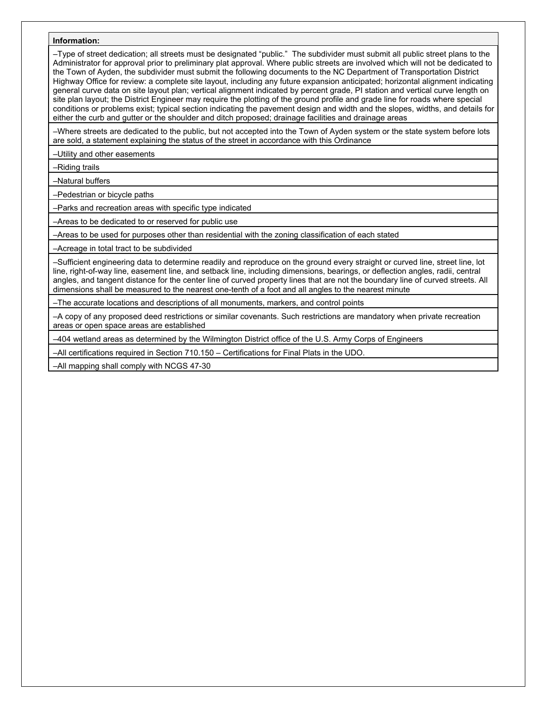#### **Information:**

–Type of street dedication; all streets must be designated "public." The subdivider must submit all public street plans to the Administrator for approval prior to preliminary plat approval. Where public streets are involved which will not be dedicated to the Town of Ayden, the subdivider must submit the following documents to the NC Department of Transportation District Highway Office for review: a complete site layout, including any future expansion anticipated; horizontal alignment indicating general curve data on site layout plan; vertical alignment indicated by percent grade, PI station and vertical curve length on site plan layout; the District Engineer may require the plotting of the ground profile and grade line for roads where special conditions or problems exist; typical section indicating the pavement design and width and the slopes, widths, and details for either the curb and gutter or the shoulder and ditch proposed; drainage facilities and drainage areas

–Where streets are dedicated to the public, but not accepted into the Town of Ayden system or the state system before lots are sold, a statement explaining the status of the street in accordance with this Ordinance

–Utility and other easements

–Riding trails

–Natural buffers

–Pedestrian or bicycle paths

–Parks and recreation areas with specific type indicated

–Areas to be dedicated to or reserved for public use

–Areas to be used for purposes other than residential with the zoning classification of each stated

–Acreage in total tract to be subdivided

–Sufficient engineering data to determine readily and reproduce on the ground every straight or curved line, street line, lot line, right-of-way line, easement line, and setback line, including dimensions, bearings, or deflection angles, radii, central angles, and tangent distance for the center line of curved property lines that are not the boundary line of curved streets. All dimensions shall be measured to the nearest one-tenth of a foot and all angles to the nearest minute

–The accurate locations and descriptions of all monuments, markers, and control points

–A copy of any proposed deed restrictions or similar covenants. Such restrictions are mandatory when private recreation areas or open space areas are established

–404 wetland areas as determined by the Wilmington District office of the U.S. Army Corps of Engineers

–All certifications required in Section 710.150 – Certifications for Final Plats in the UDO.

–All mapping shall comply with NCGS 47-30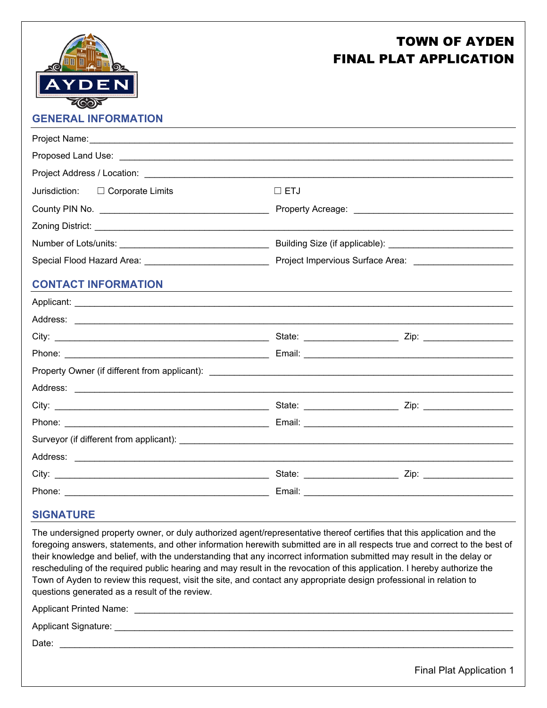

# TOWN OF AYDEN FINAL PLAT APPLICATION

## **GENERAL INFORMATION**

| Jurisdiction: $\Box$ Corporate Limits | $\Box$ ETJ |  |
|---------------------------------------|------------|--|
|                                       |            |  |
|                                       |            |  |
|                                       |            |  |
|                                       |            |  |
| <b>CONTACT INFORMATION</b>            |            |  |
|                                       |            |  |
|                                       |            |  |
|                                       |            |  |
|                                       |            |  |
|                                       |            |  |
|                                       |            |  |
|                                       |            |  |
|                                       |            |  |
|                                       |            |  |
|                                       |            |  |
|                                       |            |  |
|                                       |            |  |

#### **SIGNATURE**

The undersigned property owner, or duly authorized agent/representative thereof certifies that this application and the foregoing answers, statements, and other information herewith submitted are in all respects true and correct to the best of their knowledge and belief, with the understanding that any incorrect information submitted may result in the delay or rescheduling of the required public hearing and may result in the revocation of this application. I hereby authorize the Town of Ayden to review this request, visit the site, and contact any appropriate design professional in relation to questions generated as a result of the review.

Applicant Printed Name: \_\_\_\_\_\_\_\_\_\_\_\_\_\_\_\_\_\_\_\_\_\_\_\_\_\_\_\_\_\_\_\_\_\_\_\_\_\_\_\_\_\_\_\_\_\_\_\_\_\_\_\_\_\_\_\_\_\_\_\_\_\_\_\_\_\_\_\_\_\_\_\_\_\_\_\_

Applicant Signature: \_\_\_\_\_\_\_\_\_\_\_\_\_\_\_\_\_\_\_\_\_\_\_\_\_\_\_\_\_\_\_\_\_\_\_\_\_\_\_\_\_\_\_\_\_\_\_\_\_\_\_\_\_\_\_\_\_\_\_\_\_\_\_\_\_\_\_\_\_\_\_\_\_\_\_\_\_\_\_\_

Date: \_\_\_\_\_\_\_\_\_\_\_\_\_\_\_\_\_\_\_\_\_\_\_\_\_\_\_\_\_\_\_\_\_\_\_\_\_\_\_\_\_\_\_\_\_\_\_\_\_\_\_\_\_\_\_\_\_\_\_\_\_\_\_\_\_\_\_\_\_\_\_\_\_\_\_\_\_\_\_\_\_\_\_\_\_\_\_\_\_\_\_

Final Plat Application 1